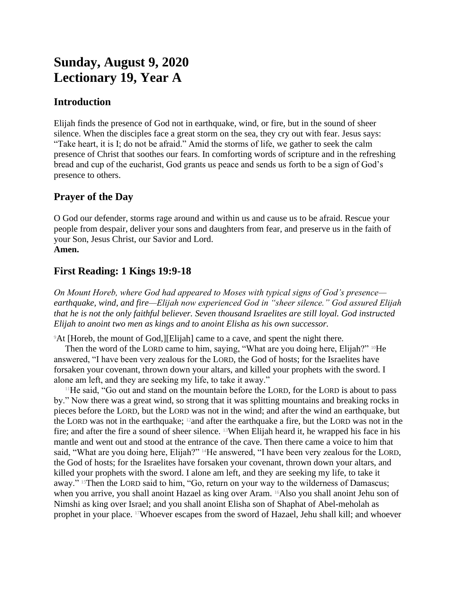# **Sunday, August 9, 2020 Lectionary 19, Year A**

## **Introduction**

Elijah finds the presence of God not in earthquake, wind, or fire, but in the sound of sheer silence. When the disciples face a great storm on the sea, they cry out with fear. Jesus says: "Take heart, it is I; do not be afraid." Amid the storms of life, we gather to seek the calm presence of Christ that soothes our fears. In comforting words of scripture and in the refreshing bread and cup of the eucharist, God grants us peace and sends us forth to be a sign of God's presence to others.

## **Prayer of the Day**

O God our defender, storms rage around and within us and cause us to be afraid. Rescue your people from despair, deliver your sons and daughters from fear, and preserve us in the faith of your Son, Jesus Christ, our Savior and Lord. **Amen.**

## **First Reading: 1 Kings 19:9-18**

*On Mount Horeb, where God had appeared to Moses with typical signs of God's presence earthquake, wind, and fire—Elijah now experienced God in "sheer silence." God assured Elijah that he is not the only faithful believer. Seven thousand Israelites are still loyal. God instructed Elijah to anoint two men as kings and to anoint Elisha as his own successor.*

<sup>9</sup>At [Horeb, the mount of God,][Elijah] came to a cave, and spent the night there.

Then the word of the LORD came to him, saying, "What are you doing here, Elijah?" <sup>10</sup>He answered, "I have been very zealous for the LORD, the God of hosts; for the Israelites have forsaken your covenant, thrown down your altars, and killed your prophets with the sword. I alone am left, and they are seeking my life, to take it away."

 $11$ He said, "Go out and stand on the mountain before the LORD, for the LORD is about to pass by." Now there was a great wind, so strong that it was splitting mountains and breaking rocks in pieces before the LORD, but the LORD was not in the wind; and after the wind an earthquake, but the LORD was not in the earthquake;  $\frac{12}{2}$  and after the earthquake a fire, but the LORD was not in the fire; and after the fire a sound of sheer silence. 13When Elijah heard it, he wrapped his face in his mantle and went out and stood at the entrance of the cave. Then there came a voice to him that said, "What are you doing here, Elijah?" <sup>14</sup>He answered, "I have been very zealous for the LORD, the God of hosts; for the Israelites have forsaken your covenant, thrown down your altars, and killed your prophets with the sword. I alone am left, and they are seeking my life, to take it away." <sup>15</sup>Then the LORD said to him, "Go, return on your way to the wilderness of Damascus; when you arrive, you shall anoint Hazael as king over Aram. 16Also you shall anoint Jehu son of Nimshi as king over Israel; and you shall anoint Elisha son of Shaphat of Abel-meholah as prophet in your place. 17Whoever escapes from the sword of Hazael, Jehu shall kill; and whoever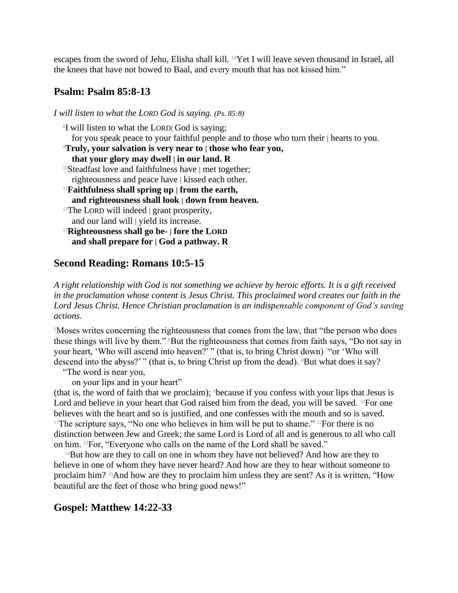escapes from the sword of Jehu, Elisha shall kill. 18Yet I will leave seven thousand in Israel, all the knees that have not bowed to Baal, and every mouth that has not kissed him."

## **Psalm: Psalm 85:8-13**

*I will listen to what the LORD God is saying. (Ps. 85:8)*

8 I will listen to what the LORD| God is saying; for you speak peace to your faithful people and to those who turn their | hearts to you. <sup>9</sup>**Truly, your salvation is very near to | those who fear you, that your glory may dwell | in our land. R** <sup>10</sup>Steadfast love and faithfulness have | met together; righteousness and peace have | kissed each other. <sup>11</sup>**Faithfulness shall spring up | from the earth, and righteousness shall look | down from heaven.**  $12$ The LORD will indeed  $\vert$  grant prosperity, and our land will | yield its increase. <sup>13</sup>**Righteousness shall go be- | fore the LORD and shall prepare for | God a pathway. R**

## **Second Reading: Romans 10:5-15**

*A right relationship with God is not something we achieve by heroic efforts. It is a gift received in the proclamation whose content is Jesus Christ. This proclaimed word creates our faith in the Lord Jesus Christ. Hence Christian proclamation is an indispensable component of God's saving actions.*

<sup>5</sup>Moses writes concerning the righteousness that comes from the law, that "the person who does these things will live by them." <sup>6</sup>But the righteousness that comes from faith says, "Do not say in your heart, 'Who will ascend into heaven?'" (that is, to bring Christ down)<sup>7"</sup> or 'Who will descend into the abyss?'" (that is, to bring Christ up from the dead). <sup>8</sup>But what does it say?

"The word is near you,

on your lips and in your heart"

(that is, the word of faith that we proclaim); 9because if you confess with your lips that Jesus is Lord and believe in your heart that God raised him from the dead, you will be saved.  $^{10}$ For one believes with the heart and so is justified, and one confesses with the mouth and so is saved. <sup>11</sup>The scripture says, "No one who believes in him will be put to shame." <sup>12</sup>For there is no distinction between Jew and Greek; the same Lord is Lord of all and is generous to all who call on him. 13For, "Everyone who calls on the name of the Lord shall be saved."

<sup>14</sup>But how are they to call on one in whom they have not believed? And how are they to believe in one of whom they have never heard? And how are they to hear without someone to proclaim him? 15And how are they to proclaim him unless they are sent? As it is written, "How beautiful are the feet of those who bring good news!"

## **Gospel: Matthew 14:22-33**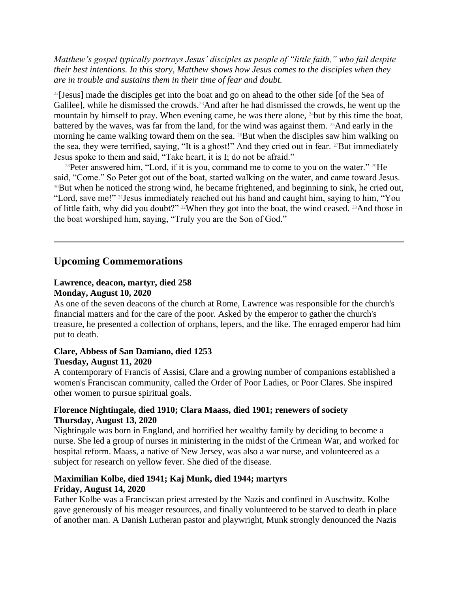*Matthew's gospel typically portrays Jesus' disciples as people of "little faith," who fail despite their best intentions. In this story, Matthew shows how Jesus comes to the disciples when they are in trouble and sustains them in their time of fear and doubt.*

<sup>22</sup>[Jesus] made the disciples get into the boat and go on ahead to the other side [of the Sea of Galilee], while he dismissed the crowds.<sup>23</sup>And after he had dismissed the crowds, he went up the mountain by himself to pray. When evening came, he was there alone, 24but by this time the boat, battered by the waves, was far from the land, for the wind was against them. <sup>25</sup>And early in the morning he came walking toward them on the sea. <sup>26</sup>But when the disciples saw him walking on the sea, they were terrified, saying, "It is a ghost!" And they cried out in fear. 27But immediately Jesus spoke to them and said, "Take heart, it is I; do not be afraid."

<sup>28</sup>Peter answered him, "Lord, if it is you, command me to come to you on the water." <sup>29</sup>He said, "Come." So Peter got out of the boat, started walking on the water, and came toward Jesus. <sup>30</sup>But when he noticed the strong wind, he became frightened, and beginning to sink, he cried out, "Lord, save me!" 31Jesus immediately reached out his hand and caught him, saying to him, "You of little faith, why did you doubt?" 32When they got into the boat, the wind ceased. 33And those in the boat worshiped him, saying, "Truly you are the Son of God."

## **Upcoming Commemorations**

## **Lawrence, deacon, martyr, died 258 Monday, August 10, 2020**

As one of the seven deacons of the church at Rome, Lawrence was responsible for the church's financial matters and for the care of the poor. Asked by the emperor to gather the church's treasure, he presented a collection of orphans, lepers, and the like. The enraged emperor had him put to death.

## **Clare, Abbess of San Damiano, died 1253 Tuesday, August 11, 2020**

A contemporary of Francis of Assisi, Clare and a growing number of companions established a women's Franciscan community, called the Order of Poor Ladies, or Poor Clares. She inspired other women to pursue spiritual goals.

## **Florence Nightingale, died 1910; Clara Maass, died 1901; renewers of society Thursday, August 13, 2020**

Nightingale was born in England, and horrified her wealthy family by deciding to become a nurse. She led a group of nurses in ministering in the midst of the Crimean War, and worked for hospital reform. Maass, a native of New Jersey, was also a war nurse, and volunteered as a subject for research on yellow fever. She died of the disease.

## **Maximilian Kolbe, died 1941; Kaj Munk, died 1944; martyrs Friday, August 14, 2020**

Father Kolbe was a Franciscan priest arrested by the Nazis and confined in Auschwitz. Kolbe gave generously of his meager resources, and finally volunteered to be starved to death in place of another man. A Danish Lutheran pastor and playwright, Munk strongly denounced the Nazis